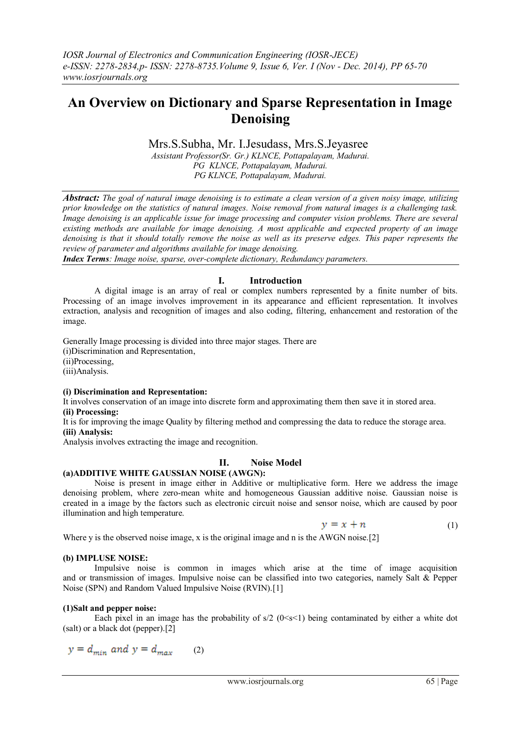# **An Overview on Dictionary and Sparse Representation in Image Denoising**

# Mrs.S.Subha, Mr. I.Jesudass, Mrs.S.Jeyasree

*Assistant Professor(Sr. Gr.) KLNCE, Pottapalayam, Madurai. PG KLNCE, Pottapalayam, Madurai. PG KLNCE, Pottapalayam, Madurai.*

*Abstract: The goal of natural image denoising is to estimate a clean version of a given noisy image, utilizing prior knowledge on the statistics of natural images. Noise removal from natural images is a challenging task. Image denoising is an applicable issue for image processing and computer vision problems. There are several existing methods are available for image denoising. A most applicable and expected property of an image denoising is that it should totally remove the noise as well as its preserve edges. This paper represents the review of parameter and algorithms available for image denoising.*

*Index Terms: Image noise, sparse, over-complete dictionary, Redundancy parameters.*

## **I. Introduction**

A digital image is an array of real or complex numbers represented by a finite number of bits. Processing of an image involves improvement in its appearance and efficient representation. It involves extraction, analysis and recognition of images and also coding, filtering, enhancement and restoration of the image.

Generally Image processing is divided into three major stages. There are

(i)Discrimination and Representation,

(ii)Processing,

(iii)Analysis.

#### **(i) Discrimination and Representation:**

It involves conservation of an image into discrete form and approximating them then save it in stored area. **(ii) Processing:**

It is for improving the image Quality by filtering method and compressing the data to reduce the storage area. **(iii) Analysis:**

Analysis involves extracting the image and recognition.

## **II. Noise Model**

## **(a)ADDITIVE WHITE GAUSSIAN NOISE (AWGN):**

Noise is present in image either in Additive or multiplicative form. Here we address the image denoising problem, where zero-mean white and homogeneous Gaussian additive noise. Gaussian noise is created in a image by the factors such as electronic circuit noise and sensor noise, which are caused by poor illumination and high temperature.

$$
y = x + n \tag{1}
$$

Where y is the observed noise image, x is the original image and n is the AWGN noise.[2]

#### **(b) IMPLUSE NOISE:**

Impulsive noise is common in images which arise at the time of image acquisition and or transmission of images. Impulsive noise can be classified into two categories, namely Salt & Pepper Noise (SPN) and Random Valued Impulsive Noise (RVIN).[1]

#### **(1)Salt and pepper noise:**

Each pixel in an image has the probability of  $s/2$  ( $0 < s < 1$ ) being contaminated by either a white dot (salt) or a black dot (pepper).[2]

$$
y = d_{min} \text{ and } y = d_{max} \qquad (2)
$$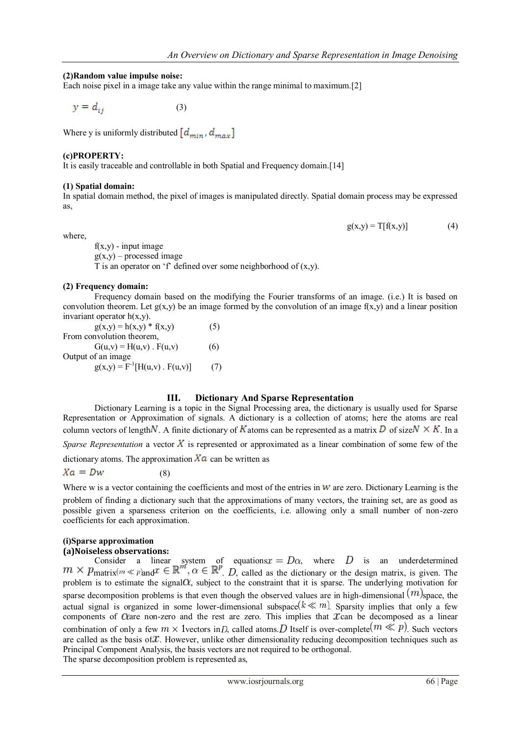$g(x,y) = T[f(x,y)]$  (4)

#### **(2)Random value impulse noise:**

Each noise pixel in a image take any value within the range minimal to maximum.[2]

 $y = d_{ij}$ (3)

Where y is uniformly distributed  $\left[d_{min}, d_{max}\right]$ 

#### **(c)PROPERTY:**

It is easily traceable and controllable in both Spatial and Frequency domain.[14]

#### **(1) Spatial domain:**

In spatial domain method, the pixel of images is manipulated directly. Spatial domain process may be expressed as,

where,

 $f(x,y)$  - input image  $g(x,y)$  – processed image

T is an operator on 'f' defined over some neighborhood of  $(x,y)$ .

#### **(2) Frequency domain:**

Frequency domain based on the modifying the Fourier transforms of an image. (i.e.) It is based on convolution theorem. Let  $g(x,y)$  be an image formed by the convolution of an image  $f(x,y)$  and a linear position invariant operator h(x,y).

| $g(x,y) = h(x,y) * f(x,y)$             | (5) |
|----------------------------------------|-----|
| From convolution theorem,              |     |
| $G(u,v) = H(u,v)$ . $F(u,v)$           | (6) |
| Output of an image                     |     |
| $g(x,y) = F^{-1}[H(u,v) \cdot F(u,v)]$ | (7) |

## **III. Dictionary And Sparse Representation**

Dictionary Learning is a topic in the Signal Processing area, the dictionary is usually used for Sparse Representation or Approximation of signals. A dictionary is a collection of atoms; here the atoms are real column vectors of length N. A finite dictionary of K atoms can be represented as a matrix D of size  $N \times K$ . In a

*Sparse Representation* a vector  $\overline{X}$  is represented or approximated as a linear combination of some few of the

dictionary atoms. The approximation  $X\alpha$  can be written as

 $Xa = Dw$  (8)

Where w is a vector containing the coefficients and most of the entries in  $w$  are zero. Dictionary Learning is the problem of finding a dictionary such that the approximations of many vectors, the training set, are as good as possible given a sparseness criterion on the coefficients, i.e. allowing only a small number of non-zero coefficients for each approximation.

# **(i)Sparse approximation**

# **(a)Noiseless observations:**

Consider a linear system of equations  $x = D\alpha$ , where D is an underdetermined matrix  $m \ll p$  and  $\mathcal{X} \in \mathbb{R}^n$ ,  $\alpha \in \mathbb{R}^n$ . D, called as the dictionary or the design matrix, is given. The problem is to estimate the signal  $\alpha$ , subject to the constraint that it is sparse. The underlying motivation for sparse decomposition problems is that even though the observed values are in high-dimensional  $(m)$ space, the actual signal is organized in some lower-dimensional subspace  $(k \ll m)$ . Sparsity implies that only a few components of  $\alpha$ are non-zero and the rest are zero. This implies that  $\alpha$  can be decomposed as a linear combination of only a few  $m \times 1$  vectors in D, called atoms. D Itself is over-complete  $(m \ll p)$ . Such vectors are called as the basis of  $\mathcal X$ . However, unlike other dimensionality reducing decomposition techniques such as Principal Component Analysis, the basis vectors are not required to be orthogonal. The sparse decomposition problem is represented as,

www.iosrjournals.org 66 | Page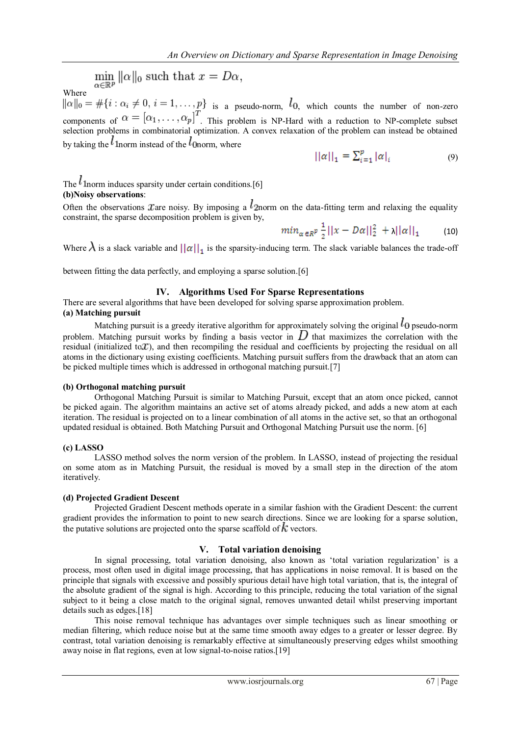$\min_{\alpha \in \mathbb{R}^p} ||\alpha||_0$  such that  $x=D\alpha,$ 

Where

 $\|\alpha\|_0 = \#\{i : \alpha_i \neq 0, i = 1, \dots, p\}$  is a pseudo-norm,  $l_0$ , which counts the number of non-zero components of  $\alpha = [\alpha_1, \dots, \alpha_p]$ . This problem is NP-Hard with a reduction to NP-complete subset selection problems in combinatorial optimization. A convex relaxation of the problem can instead be obtained by taking the  $l_1$  norm instead of the  $l_0$  norm, where

$$
||\alpha||_1 = \sum_{i=1}^{p} |\alpha|_i \tag{9}
$$

# The  $l$  1 norm induces sparsity under certain conditions. [6] **(b)Noisy observations**:

Often the observations *x* are noisy. By imposing a  $l$  2norm on the data-fitting term and relaxing the equality constraint, the sparse decomposition problem is given by,

$$
min_{\alpha \in R^p} \frac{1}{2} ||x - D\alpha||_2^2 + \lambda ||\alpha||_1 \qquad (10)
$$

Where  $\lambda$  is a slack variable and  $||\alpha||_1$  is the sparsity-inducing term. The slack variable balances the trade-off

between fitting the data perfectly, and employing a sparse solution.[6]

## **IV. Algorithms Used For Sparse Representations**

There are several algorithms that have been developed for solving sparse approximation problem.

# **(a) Matching pursuit**

Matching pursuit is a greedy iterative algorithm for approximately solving the original  $l_0$  pseudo-norm problem. Matching pursuit works by finding a basis vector in  $D$  that maximizes the correlation with the residual (initialized to  $x$ ), and then recompiling the residual and coefficients by projecting the residual on all atoms in the dictionary using existing coefficients. Matching pursuit suffers from the drawback that an atom can be picked multiple times which is addressed in orthogonal matching pursuit.[7]

## **(b) Orthogonal matching pursuit**

Orthogonal Matching Pursuit is similar to Matching Pursuit, except that an atom once picked, cannot be picked again. The algorithm maintains an active set of atoms already picked, and adds a new atom at each iteration. The residual is projected on to a linear combination of all atoms in the active set, so that an orthogonal updated residual is obtained. Both Matching Pursuit and Orthogonal Matching Pursuit use the norm. [6]

## **(c) LASSO**

LASSO method solves the norm version of the problem. In LASSO, instead of projecting the residual on some atom as in Matching Pursuit, the residual is moved by a small step in the direction of the atom iteratively.

## **(d) Projected Gradient Descent**

Projected Gradient Descent methods operate in a similar fashion with the Gradient Descent: the current gradient provides the information to point to new search directions. Since we are looking for a sparse solution, the putative solutions are projected onto the sparse scaffold of  $\vec{k}$  vectors.

## **V. Total variation denoising**

In signal processing, total variation denoising, also known as 'total variation regularization' is a process, most often used in digital image processing, that has applications in noise removal. It is based on the principle that signals with excessive and possibly spurious detail have high total variation, that is, the integral of the absolute gradient of the signal is high. According to this principle, reducing the total variation of the signal subject to it being a close match to the original signal, removes unwanted detail whilst preserving important details such as edges.[18]

This noise removal technique has advantages over simple techniques such as linear smoothing or median filtering, which reduce noise but at the same time smooth away edges to a greater or lesser degree. By contrast, total variation denoising is remarkably effective at simultaneously preserving edges whilst smoothing away noise in flat regions, even at low signal-to-noise ratios.[19]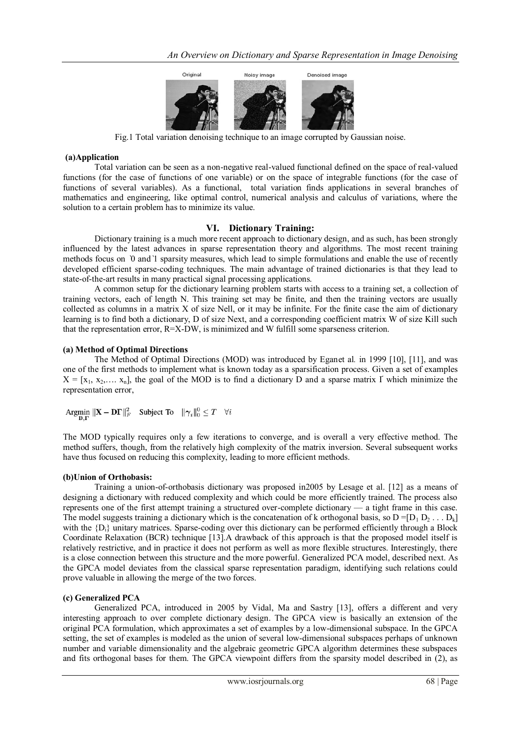

Fig.1 Total variation denoising technique to an image corrupted by Gaussian noise.

## **(a)Application**

Total variation can be seen as a non-negative real-valued functional defined on the space of real-valued functions (for the case of functions of one variable) or on the space of integrable functions (for the case of functions of several variables). As a functional, total variation finds applications in several branches of mathematics and engineering, like optimal control, numerical analysis and calculus of variations, where the solution to a certain problem has to minimize its value.

# **VI. Dictionary Training:**

Dictionary training is a much more recent approach to dictionary design, and as such, has been strongly influenced by the latest advances in sparse representation theory and algorithms. The most recent training methods focus on *`*0 and*`*1 sparsity measures, which lead to simple formulations and enable the use of recently developed efficient sparse-coding techniques. The main advantage of trained dictionaries is that they lead to state-of-the-art results in many practical signal processing applications.

A common setup for the dictionary learning problem starts with access to a training set, a collection of training vectors, each of length N. This training set may be finite, and then the training vectors are usually collected as columns in a matrix X of size Nell, or it may be infinite. For the finite case the aim of dictionary learning is to find both a dictionary, D of size Next, and a corresponding coefficient matrix W of size Kill such that the representation error, R=X-DW, is minimized and W fulfill some sparseness criterion.

## **(a) Method of Optimal Directions**

The Method of Optimal Directions (MOD) was introduced by Eganet al*.* in 1999 [10], [11], and was one of the first methods to implement what is known today as a sparsification process. Given a set of examples  $X = [x_1, x_2, \ldots, x_n]$ , the goal of the MOD is to find a dictionary D and a sparse matrix  $\Gamma$  which minimize the representation error,

Argmin  $\|\mathbf{X} - \mathbf{D}\mathbf{\Gamma}\|_F^2$  Subject To  $\|\gamma_i\|_0^0 \le T \quad \forall i$ 

The MOD typically requires only a few iterations to converge, and is overall a very effective method. The method suffers, though, from the relatively high complexity of the matrix inversion. Several subsequent works have thus focused on reducing this complexity, leading to more efficient methods.

## **(b)Union of Orthobasis:**

Training a union-of-orthobasis dictionary was proposed in2005 by Lesage et al. [12] as a means of designing a dictionary with reduced complexity and which could be more efficiently trained. The process also represents one of the first attempt training a structured over-complete dictionary — a tight frame in this case. The model suggests training a dictionary which is the concatenation of k orthogonal basis, so  $D = [D_1 D_2 \dots D_k]$ with the  ${D<sub>i</sub>}$  unitary matrices. Sparse-coding over this dictionary can be performed efficiently through a Block Coordinate Relaxation (BCR) technique [13].A drawback of this approach is that the proposed model itself is relatively restrictive, and in practice it does not perform as well as more flexible structures. Interestingly, there is a close connection between this structure and the more powerful. Generalized PCA model, described next. As the GPCA model deviates from the classical sparse representation paradigm, identifying such relations could prove valuable in allowing the merge of the two forces.

## **(c) Generalized PCA**

Generalized PCA, introduced in 2005 by Vidal, Ma and Sastry [13], offers a different and very interesting approach to over complete dictionary design. The GPCA view is basically an extension of the original PCA formulation, which approximates a set of examples by a low-dimensional subspace. In the GPCA setting, the set of examples is modeled as the union of several low-dimensional subspaces perhaps of unknown number and variable dimensionality and the algebraic geometric GPCA algorithm determines these subspaces and fits orthogonal bases for them. The GPCA viewpoint differs from the sparsity model described in (2), as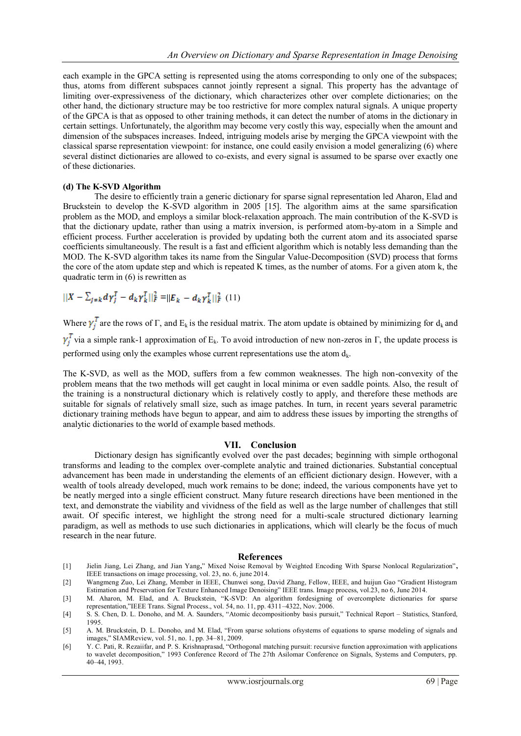each example in the GPCA setting is represented using the atoms corresponding to only one of the subspaces; thus, atoms from different subspaces cannot jointly represent a signal. This property has the advantage of limiting over-expressiveness of the dictionary, which characterizes other over complete dictionaries; on the other hand, the dictionary structure may be too restrictive for more complex natural signals. A unique property of the GPCA is that as opposed to other training methods, it can detect the number of atoms in the dictionary in certain settings. Unfortunately, the algorithm may become very costly this way, especially when the amount and dimension of the subspaces increases. Indeed, intriguing models arise by merging the GPCA viewpoint with the classical sparse representation viewpoint: for instance, one could easily envision a model generalizing (6) where several distinct dictionaries are allowed to co-exists, and every signal is assumed to be sparse over exactly one of these dictionaries.

#### **(d) The K-SVD Algorithm**

The desire to efficiently train a generic dictionary for sparse signal representation led Aharon, Elad and Bruckstein to develop the K-SVD algorithm in 2005 [15]. The algorithm aims at the same sparsification problem as the MOD, and employs a similar block-relaxation approach. The main contribution of the K-SVD is that the dictionary update, rather than using a matrix inversion, is performed atom-by-atom in a Simple and efficient process. Further acceleration is provided by updating both the current atom and its associated sparse coefficients simultaneously. The result is a fast and efficient algorithm which is notably less demanding than the MOD. The K-SVD algorithm takes its name from the Singular Value-Decomposition (SVD) process that forms the core of the atom update step and which is repeated K times, as the number of atoms. For a given atom k, the quadratic term in (6) is rewritten as

 $||X-\sum_{j\neq k}d\gamma_j^T-d_k\gamma_k^T||_F^2=||E_k-d_k\gamma_k^T||_F^2$   $(11)$ 

Where  $\gamma_i^T$  are the rows of Γ, and E<sub>k</sub> is the residual matrix. The atom update is obtained by minimizing for d<sub>k</sub> and  $\gamma_i^T$  via a simple rank-1 approximation of E<sub>k</sub>. To avoid introduction of new non-zeros in Γ, the update process is performed using only the examples whose current representations use the atom  $d_k$ .

The K-SVD, as well as the MOD, suffers from a few common weaknesses. The high non-convexity of the problem means that the two methods will get caught in local minima or even saddle points. Also, the result of the training is a nonstructural dictionary which is relatively costly to apply, and therefore these methods are suitable for signals of relatively small size, such as image patches. In turn, in recent years several parametric dictionary training methods have begun to appear, and aim to address these issues by importing the strengths of analytic dictionaries to the world of example based methods.

## **VII. Conclusion**

Dictionary design has significantly evolved over the past decades; beginning with simple orthogonal transforms and leading to the complex over-complete analytic and trained dictionaries. Substantial conceptual advancement has been made in understanding the elements of an efficient dictionary design. However, with a wealth of tools already developed, much work remains to be done; indeed, the various components have yet to be neatly merged into a single efficient construct. Many future research directions have been mentioned in the text, and demonstrate the viability and vividness of the field as well as the large number of challenges that still await. Of specific interest, we highlight the strong need for a multi-scale structured dictionary learning paradigm, as well as methods to use such dictionaries in applications, which will clearly be the focus of much research in the near future.

#### **References**

- [1] Jielin Jiang, Lei Zhang, and Jian Yang," Mixed Noise Removal by Weighted Encoding With Sparse Nonlocal Regularization", IEEE transactions on image processing, vol. 23, no. 6, june 2014.
- [2] Wangmeng Zuo, Lei Zhang, Member in IEEE, Chunwei song, David Zhang, Fellow, IEEE, and huijun Gao "Gradient Histogram Estimation and Preservation for Texture Enhanced Image Denoising" IEEE trans. Image process, vol.23, no 6, June 2014.
- [3] M. Aharon, M. Elad, and A. Bruckstein, "K-SVD: An algorithm fordesigning of overcomplete dictionaries for sparse representation,‖IEEE Trans. Signal Process., vol. 54, no. 11, pp. 4311–4322, Nov. 2006.
- [4] S. S. Chen, D. L. Donoho, and M. A. Saunders, "Atomic decompositionby basis pursuit," Technical Report Statistics, Stanford, 1995.
- [5] A. M. Bruckstein, D. L. Donoho, and M. Elad, "From sparse solutions of systems of equations to sparse modeling of signals and images," SIAMReview, vol. 51, no. 1, pp. 34-81, 2009.
- [6] Y. C. Pati, R. Rezaiifar, and P. S. Krishnaprasad, "Orthogonal matching pursuit: recursive function approximation with applications to wavelet decomposition," 1993 Conference Record of The 27th Asilomar Conference on Signals, Systems and Computers, pp. 40–44, 1993.